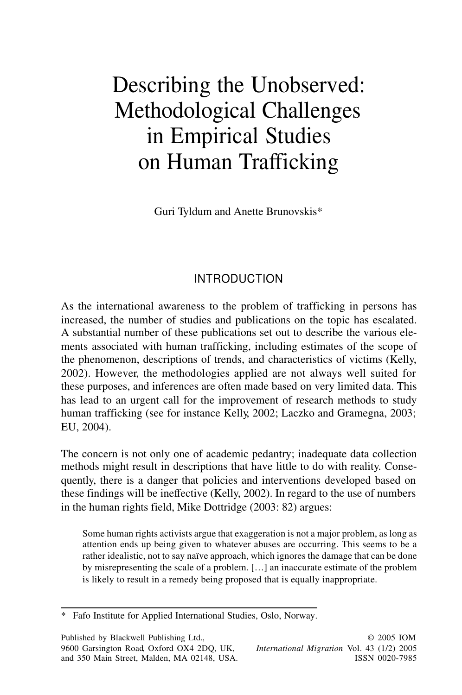# Describing the Unobserved: Methodological Challenges in Empirical Studies on Human Trafficking

Guri Tyldum and Anette Brunovskis\*

# INTRODUCTION

As the international awareness to the problem of trafficking in persons has increased, the number of studies and publications on the topic has escalated. A substantial number of these publications set out to describe the various elements associated with human trafficking, including estimates of the scope of the phenomenon, descriptions of trends, and characteristics of victims (Kelly, 2002). However, the methodologies applied are not always well suited for these purposes, and inferences are often made based on very limited data. This has lead to an urgent call for the improvement of research methods to study human trafficking (see for instance Kelly, 2002; Laczko and Gramegna, 2003; EU, 2004).

The concern is not only one of academic pedantry; inadequate data collection methods might result in descriptions that have little to do with reality. Consequently, there is a danger that policies and interventions developed based on these findings will be ineffective (Kelly, 2002). In regard to the use of numbers in the human rights field, Mike Dottridge (2003: 82) argues:

Some human rights activists argue that exaggeration is not a major problem, as long as attention ends up being given to whatever abuses are occurring. This seems to be a rather idealistic, not to say naïve approach, which ignores the damage that can be done by misrepresenting the scale of a problem. […] an inaccurate estimate of the problem is likely to result in a remedy being proposed that is equally inappropriate.

<sup>\*</sup> Fafo Institute for Applied International Studies, Oslo, Norway.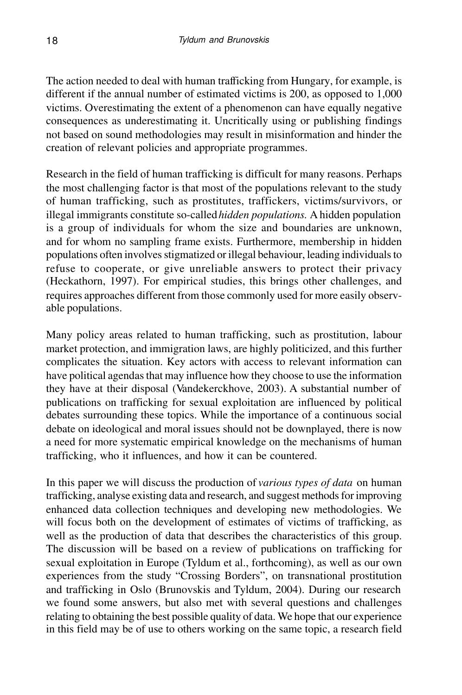The action needed to deal with human trafficking from Hungary, for example, is different if the annual number of estimated victims is 200, as opposed to 1,000 victims. Overestimating the extent of a phenomenon can have equally negative consequences as underestimating it. Uncritically using or publishing findings not based on sound methodologies may result in misinformation and hinder the creation of relevant policies and appropriate programmes.

Research in the field of human trafficking is difficult for many reasons. Perhaps the most challenging factor is that most of the populations relevant to the study of human trafficking, such as prostitutes, traffickers, victims/survivors, or illegal immigrants constitute so-called *hidden populations.* A hidden population is a group of individuals for whom the size and boundaries are unknown, and for whom no sampling frame exists. Furthermore, membership in hidden populations often involves stigmatized or illegal behaviour, leading individuals to refuse to cooperate, or give unreliable answers to protect their privacy (Heckathorn, 1997). For empirical studies, this brings other challenges, and requires approaches different from those commonly used for more easily observable populations.

Many policy areas related to human trafficking, such as prostitution, labour market protection, and immigration laws, are highly politicized, and this further complicates the situation. Key actors with access to relevant information can have political agendas that may influence how they choose to use the information they have at their disposal (Vandekerckhove, 2003). A substantial number of publications on trafficking for sexual exploitation are influenced by political debates surrounding these topics. While the importance of a continuous social debate on ideological and moral issues should not be downplayed, there is now a need for more systematic empirical knowledge on the mechanisms of human trafficking, who it influences, and how it can be countered.

In this paper we will discuss the production of *various types of data* on human trafficking, analyse existing data and research, and suggest methods for improving enhanced data collection techniques and developing new methodologies. We will focus both on the development of estimates of victims of trafficking, as well as the production of data that describes the characteristics of this group. The discussion will be based on a review of publications on trafficking for sexual exploitation in Europe (Tyldum et al., forthcoming), as well as our own experiences from the study "Crossing Borders", on transnational prostitution and trafficking in Oslo (Brunovskis and Tyldum, 2004). During our research we found some answers, but also met with several questions and challenges relating to obtaining the best possible quality of data. We hope that our experience in this field may be of use to others working on the same topic, a research field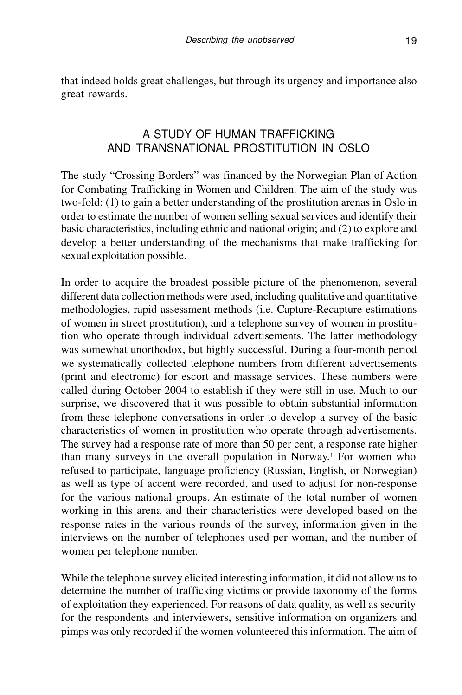## A STUDY OF HUMAN TRAFFICKING AND TRANSNATIONAL PROSTITUTION IN OSLO

The study "Crossing Borders" was financed by the Norwegian Plan of Action for Combating Trafficking in Women and Children. The aim of the study was two-fold: (1) to gain a better understanding of the prostitution arenas in Oslo in order to estimate the number of women selling sexual services and identify their basic characteristics, including ethnic and national origin; and (2) to explore and develop a better understanding of the mechanisms that make trafficking for sexual exploitation possible.

In order to acquire the broadest possible picture of the phenomenon, several different data collection methods were used, including qualitative and quantitative methodologies, rapid assessment methods (i.e. Capture-Recapture estimations of women in street prostitution), and a telephone survey of women in prostitution who operate through individual advertisements. The latter methodology was somewhat unorthodox, but highly successful. During a four-month period we systematically collected telephone numbers from different advertisements (print and electronic) for escort and massage services. These numbers were called during October 2004 to establish if they were still in use. Much to our surprise, we discovered that it was possible to obtain substantial information from these telephone conversations in order to develop a survey of the basic characteristics of women in prostitution who operate through advertisements. The survey had a response rate of more than 50 per cent, a response rate higher than many surveys in the overall population in Norway. 1 For women who refused to participate, language proficiency (Russian, English, or Norwegian) as well as type of accent were recorded, and used to adjust for non-response for the various national groups. An estimate of the total number of women working in this arena and their characteristics were developed based on the response rates in the various rounds of the survey, information given in the interviews on the number of telephones used per woman, and the number of women per telephone number.

While the telephone survey elicited interesting information, it did not allow us to determine the number of trafficking victims or provide taxonomy of the forms of exploitation they experienced. For reasons of data quality, as well as security for the respondents and interviewers, sensitive information on organizers and pimps was only recorded if the women volunteered this information. The aim of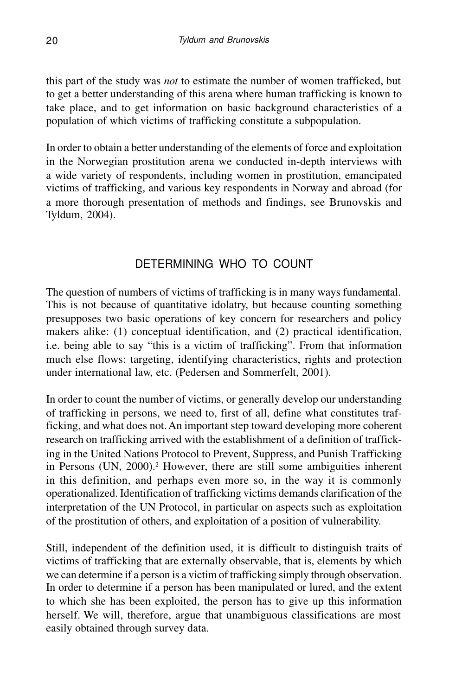this part of the study was *not* to estimate the number of women trafficked, but to get a better understanding of this arena where human trafficking is known to take place, and to get information on basic background characteristics of a population of which victims of trafficking constitute a subpopulation.

In order to obtain a better understanding of the elements of force and exploitation in the Norwegian prostitution arena we conducted in-depth interviews with a wide variety of respondents, including women in prostitution, emancipated victims of trafficking, and various key respondents in Norway and abroad (for a more thorough presentation of methods and findings, see Brunovskis and Tyldum, 2004).

# DETERMINING WHO TO COUNT

The question of numbers of victims of trafficking is in many ways fundamental. This is not because of quantitative idolatry, but because counting something presupposes two basic operations of key concern for researchers and policy makers alike: (1) conceptual identification, and (2) practical identification, i.e. being able to say "this is a victim of trafficking". From that information much else flows: targeting, identifying characteristics, rights and protection under international law, etc. (Pedersen and Sommerfelt, 2001).

In order to count the number of victims, or generally develop our understanding of trafficking in persons, we need to, first of all, define what constitutes trafficking, and what does not. An important step toward developing more coherent research on trafficking arrived with the establishment of a definition of trafficking in the United Nations Protocol to Prevent, Suppress, and Punish Trafficking in Persons (UN, 2000).<sup>2</sup> However, there are still some ambiguities inherent in this definition, and perhaps even more so, in the way it is commonly operationalized. Identification of trafficking victims demands clarification of the interpretation of the UN Protocol, in particular on aspects such as exploitation of the prostitution of others, and exploitation of a position of vulnerability.

Still, independent of the definition used, it is difficult to distinguish traits of victims of trafficking that are externally observable, that is, elements by which we can determine if a person is a victim of trafficking simply through observation. In order to determine if a person has been manipulated or lured, and the extent to which she has been exploited, the person has to give up this information herself. We will, therefore, argue that unambiguous classifications are most easily obtained through survey data.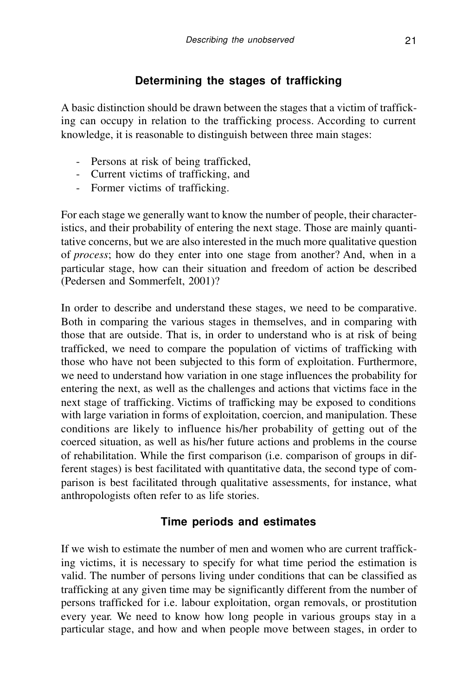## **Determining the stages of trafficking**

A basic distinction should be drawn between the stages that a victim of trafficking can occupy in relation to the trafficking process. According to current knowledge, it is reasonable to distinguish between three main stages:

- Persons at risk of being trafficked,
- Current victims of trafficking, and
- Former victims of trafficking.

For each stage we generally want to know the number of people, their characteristics, and their probability of entering the next stage. Those are mainly quantitative concerns, but we are also interested in the much more qualitative question of *process*; how do they enter into one stage from another? And, when in a particular stage, how can their situation and freedom of action be described (Pedersen and Sommerfelt, 2001)?

In order to describe and understand these stages, we need to be comparative. Both in comparing the various stages in themselves, and in comparing with those that are outside. That is, in order to understand who is at risk of being trafficked, we need to compare the population of victims of trafficking with those who have not been subjected to this form of exploitation. Furthermore, we need to understand how variation in one stage influences the probability for entering the next, as well as the challenges and actions that victims face in the next stage of trafficking. Victims of trafficking may be exposed to conditions with large variation in forms of exploitation, coercion, and manipulation. These conditions are likely to influence his/her probability of getting out of the coerced situation, as well as his/her future actions and problems in the course of rehabilitation. While the first comparison (i.e. comparison of groups in different stages) is best facilitated with quantitative data, the second type of comparison is best facilitated through qualitative assessments, for instance, what anthropologists often refer to as life stories.

## **Time periods and estimates**

If we wish to estimate the number of men and women who are current trafficking victims, it is necessary to specify for what time period the estimation is valid. The number of persons living under conditions that can be classified as trafficking at any given time may be significantly different from the number of persons trafficked for i.e. labour exploitation, organ removals, or prostitution every year. We need to know how long people in various groups stay in a particular stage, and how and when people move between stages, in order to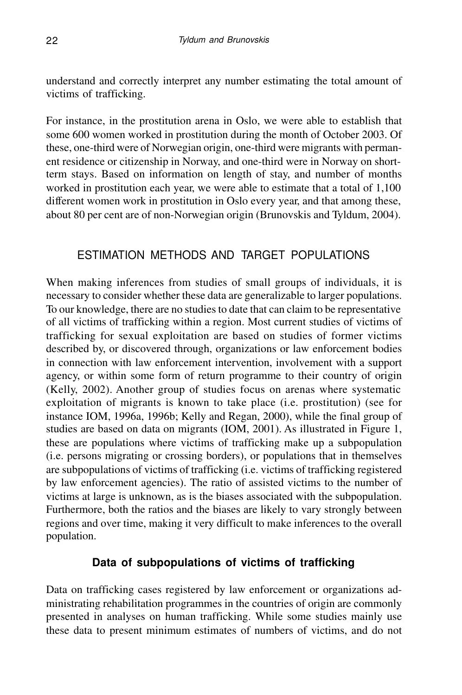understand and correctly interpret any number estimating the total amount of victims of trafficking.

For instance, in the prostitution arena in Oslo, we were able to establish that some 600 women worked in prostitution during the month of October 2003. Of these, one-third were of Norwegian origin, one-third were migrants with permanent residence or citizenship in Norway, and one-third were in Norway on shortterm stays. Based on information on length of stay, and number of months worked in prostitution each year, we were able to estimate that a total of 1,100 different women work in prostitution in Oslo every year, and that among these, about 80 per cent are of non-Norwegian origin (Brunovskis and Tyldum, 2004).

# ESTIMATION METHODS AND TARGET POPULATIONS

When making inferences from studies of small groups of individuals, it is necessary to consider whether these data are generalizable to larger populations. To our knowledge, there are no studies to date that can claim to be representative of all victims of trafficking within a region. Most current studies of victims of trafficking for sexual exploitation are based on studies of former victims described by, or discovered through, organizations or law enforcement bodies in connection with law enforcement intervention, involvement with a support agency, or within some form of return programme to their country of origin (Kelly, 2002). Another group of studies focus on arenas where systematic exploitation of migrants is known to take place (i.e. prostitution) (see for instance IOM, 1996a, 1996b; Kelly and Regan, 2000), while the final group of studies are based on data on migrants (IOM, 2001). As illustrated in Figure 1, these are populations where victims of trafficking make up a subpopulation (i.e. persons migrating or crossing borders), or populations that in themselves are subpopulations of victims of trafficking (i.e. victims of trafficking registered by law enforcement agencies). The ratio of assisted victims to the number of victims at large is unknown, as is the biases associated with the subpopulation. Furthermore, both the ratios and the biases are likely to vary strongly between regions and over time, making it very difficult to make inferences to the overall population.

## **Data of subpopulations of victims of trafficking**

Data on trafficking cases registered by law enforcement or organizations administrating rehabilitation programmes in the countries of origin are commonly presented in analyses on human trafficking. While some studies mainly use these data to present minimum estimates of numbers of victims, and do not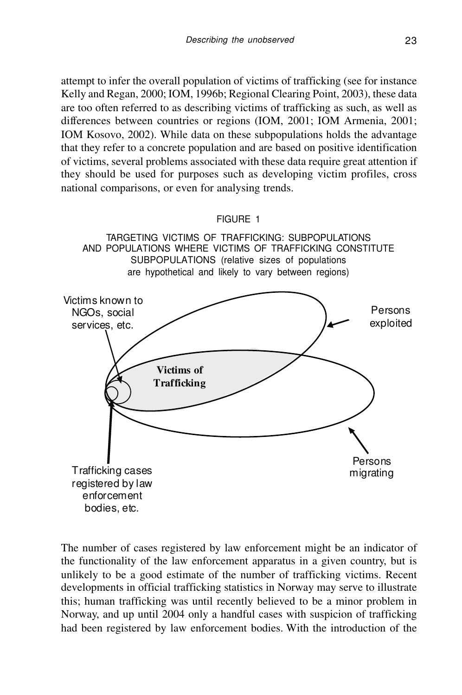attempt to infer the overall population of victims of trafficking (see for instance Kelly and Regan, 2000; IOM, 1996b; Regional Clearing Point, 2003), these data are too often referred to as describing victims of trafficking as such, as well as differences between countries or regions (IOM, 2001; IOM Armenia, 2001; IOM Kosovo, 2002). While data on these subpopulations holds the advantage that they refer to a concrete population and are based on positive identification of victims, several problems associated with these data require great attention if they should be used for purposes such as developing victim profiles, cross national comparisons, or even for analysing trends.

#### FIGURE 1



The number of cases registered by law enforcement might be an indicator of the functionality of the law enforcement apparatus in a given country, but is unlikely to be a good estimate of the number of trafficking victims. Recent developments in official trafficking statistics in Norway may serve to illustrate this; human trafficking was until recently believed to be a minor problem in Norway, and up until 2004 only a handful cases with suspicion of trafficking had been registered by law enforcement bodies. With the introduction of the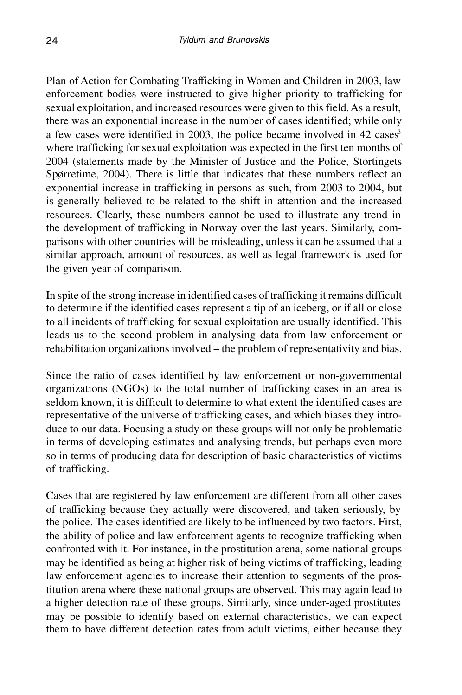Plan of Action for Combating Trafficking in Women and Children in 2003, law enforcement bodies were instructed to give higher priority to trafficking for sexual exploitation, and increased resources were given to this field. As a result, there was an exponential increase in the number of cases identified; while only a few cases were identified in 2003, the police became involved in  $42 \text{ cases}^3$ where trafficking for sexual exploitation was expected in the first ten months of 2004 (statements made by the Minister of Justice and the Police, Stortingets Spørretime, 2004). There is little that indicates that these numbers reflect an exponential increase in trafficking in persons as such, from 2003 to 2004, but is generally believed to be related to the shift in attention and the increased resources. Clearly, these numbers cannot be used to illustrate any trend in the development of trafficking in Norway over the last years. Similarly, comparisons with other countries will be misleading, unless it can be assumed that a similar approach, amount of resources, as well as legal framework is used for the given year of comparison.

In spite of the strong increase in identified cases of trafficking it remains difficult to determine if the identified cases represent a tip of an iceberg, or if all or close to all incidents of trafficking for sexual exploitation are usually identified. This leads us to the second problem in analysing data from law enforcement or rehabilitation organizations involved – the problem of representativity and bias.

Since the ratio of cases identified by law enforcement or non-governmental organizations (NGOs) to the total number of trafficking cases in an area is seldom known, it is difficult to determine to what extent the identified cases are representative of the universe of trafficking cases, and which biases they introduce to our data. Focusing a study on these groups will not only be problematic in terms of developing estimates and analysing trends, but perhaps even more so in terms of producing data for description of basic characteristics of victims of trafficking.

Cases that are registered by law enforcement are different from all other cases of trafficking because they actually were discovered, and taken seriously, by the police. The cases identified are likely to be influenced by two factors. First, the ability of police and law enforcement agents to recognize trafficking when confronted with it. For instance, in the prostitution arena, some national groups may be identified as being at higher risk of being victims of trafficking, leading law enforcement agencies to increase their attention to segments of the prostitution arena where these national groups are observed. This may again lead to a higher detection rate of these groups. Similarly, since under-aged prostitutes may be possible to identify based on external characteristics, we can expect them to have different detection rates from adult victims, either because they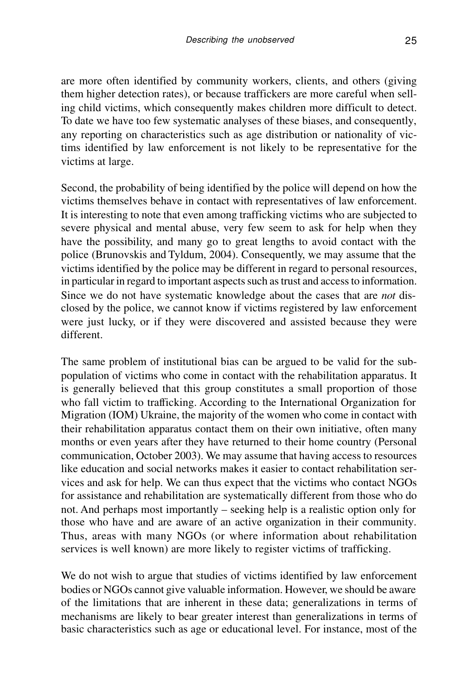are more often identified by community workers, clients, and others (giving them higher detection rates), or because traffickers are more careful when selling child victims, which consequently makes children more difficult to detect. To date we have too few systematic analyses of these biases, and consequently, any reporting on characteristics such as age distribution or nationality of victims identified by law enforcement is not likely to be representative for the victims at large.

Second, the probability of being identified by the police will depend on how the victims themselves behave in contact with representatives of law enforcement. It is interesting to note that even among trafficking victims who are subjected to severe physical and mental abuse, very few seem to ask for help when they have the possibility, and many go to great lengths to avoid contact with the police (Brunovskis and Tyldum, 2004). Consequently, we may assume that the victims identified by the police may be different in regard to personal resources, in particular in regard to important aspects such as trust and access to information. Since we do not have systematic knowledge about the cases that are *not* disclosed by the police, we cannot know if victims registered by law enforcement were just lucky, or if they were discovered and assisted because they were different.

The same problem of institutional bias can be argued to be valid for the subpopulation of victims who come in contact with the rehabilitation apparatus. It is generally believed that this group constitutes a small proportion of those who fall victim to trafficking. According to the International Organization for Migration (IOM) Ukraine, the majority of the women who come in contact with their rehabilitation apparatus contact them on their own initiative, often many months or even years after they have returned to their home country (Personal communication, October 2003). We may assume that having access to resources like education and social networks makes it easier to contact rehabilitation services and ask for help. We can thus expect that the victims who contact NGOs for assistance and rehabilitation are systematically different from those who do not. And perhaps most importantly – seeking help is a realistic option only for those who have and are aware of an active organization in their community. Thus, areas with many NGOs (or where information about rehabilitation services is well known) are more likely to register victims of trafficking.

We do not wish to argue that studies of victims identified by law enforcement bodies or NGOs cannot give valuable information. However, we should be aware of the limitations that are inherent in these data; generalizations in terms of mechanisms are likely to bear greater interest than generalizations in terms of basic characteristics such as age or educational level. For instance, most of the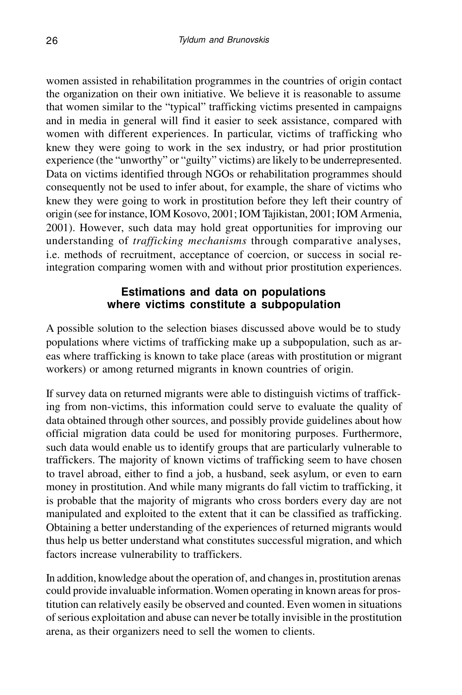women assisted in rehabilitation programmes in the countries of origin contact the organization on their own initiative. We believe it is reasonable to assume that women similar to the "typical" trafficking victims presented in campaigns and in media in general will find it easier to seek assistance, compared with women with different experiences. In particular, victims of trafficking who knew they were going to work in the sex industry, or had prior prostitution experience (the "unworthy" or "guilty" victims) are likely to be underrepresented. Data on victims identified through NGOs or rehabilitation programmes should consequently not be used to infer about, for example, the share of victims who knew they were going to work in prostitution before they left their country of origin (see for instance, IOM Kosovo, 2001; IOM Tajikistan, 2001; IOM Armenia, 2001). However, such data may hold great opportunities for improving our understanding of *trafficking mechanisms* through comparative analyses, i.e. methods of recruitment, acceptance of coercion, or success in social reintegration comparing women with and without prior prostitution experiences.

## **Estimations and data on populations where victims constitute a subpopulation**

A possible solution to the selection biases discussed above would be to study populations where victims of trafficking make up a subpopulation, such as areas where trafficking is known to take place (areas with prostitution or migrant workers) or among returned migrants in known countries of origin.

If survey data on returned migrants were able to distinguish victims of trafficking from non-victims, this information could serve to evaluate the quality of data obtained through other sources, and possibly provide guidelines about how official migration data could be used for monitoring purposes. Furthermore, such data would enable us to identify groups that are particularly vulnerable to traffickers. The majority of known victims of trafficking seem to have chosen to travel abroad, either to find a job, a husband, seek asylum, or even to earn money in prostitution. And while many migrants do fall victim to trafficking, it is probable that the majority of migrants who cross borders every day are not manipulated and exploited to the extent that it can be classified as trafficking. Obtaining a better understanding of the experiences of returned migrants would thus help us better understand what constitutes successful migration, and which factors increase vulnerability to traffickers.

In addition, knowledge about the operation of, and changes in, prostitution arenas could provide invaluable information. Women operating in known areas for prostitution can relatively easily be observed and counted. Even women in situations of serious exploitation and abuse can never be totally invisible in the prostitution arena, as their organizers need to sell the women to clients.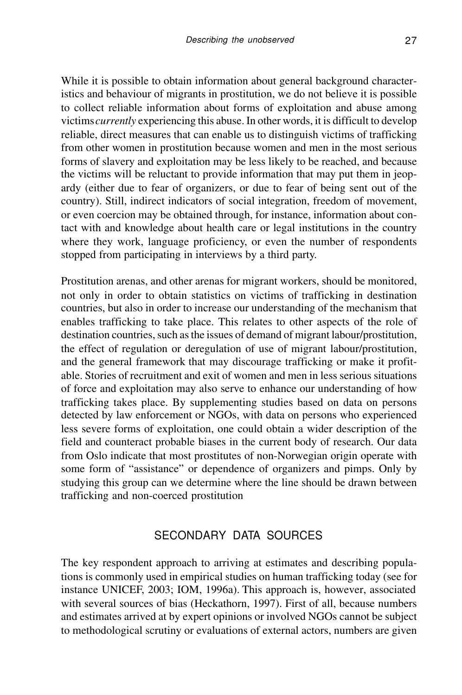While it is possible to obtain information about general background characteristics and behaviour of migrants in prostitution, we do not believe it is possible to collect reliable information about forms of exploitation and abuse among victims *currently* experiencing this abuse. In other words, it is difficult to develop reliable, direct measures that can enable us to distinguish victims of trafficking from other women in prostitution because women and men in the most serious forms of slavery and exploitation may be less likely to be reached, and because the victims will be reluctant to provide information that may put them in jeopardy (either due to fear of organizers, or due to fear of being sent out of the country). Still, indirect indicators of social integration, freedom of movement, or even coercion may be obtained through, for instance, information about contact with and knowledge about health care or legal institutions in the country where they work, language proficiency, or even the number of respondents stopped from participating in interviews by a third party.

Prostitution arenas, and other arenas for migrant workers, should be monitored, not only in order to obtain statistics on victims of trafficking in destination countries, but also in order to increase our understanding of the mechanism that enables trafficking to take place. This relates to other aspects of the role of destination countries, such as the issues of demand of migrant labour/prostitution, the effect of regulation or deregulation of use of migrant labour/prostitution, and the general framework that may discourage trafficking or make it profitable. Stories of recruitment and exit of women and men in less serious situations of force and exploitation may also serve to enhance our understanding of how trafficking takes place. By supplementing studies based on data on persons detected by law enforcement or NGOs, with data on persons who experienced less severe forms of exploitation, one could obtain a wider description of the field and counteract probable biases in the current body of research. Our data from Oslo indicate that most prostitutes of non-Norwegian origin operate with some form of "assistance" or dependence of organizers and pimps. Only by studying this group can we determine where the line should be drawn between trafficking and non-coerced prostitution

## SECONDARY DATA SOURCES

The key respondent approach to arriving at estimates and describing populations is commonly used in empirical studies on human trafficking today (see for instance UNICEF, 2003; IOM, 1996a). This approach is, however, associated with several sources of bias (Heckathorn, 1997). First of all, because numbers and estimates arrived at by expert opinions or involved NGOs cannot be subject to methodological scrutiny or evaluations of external actors, numbers are given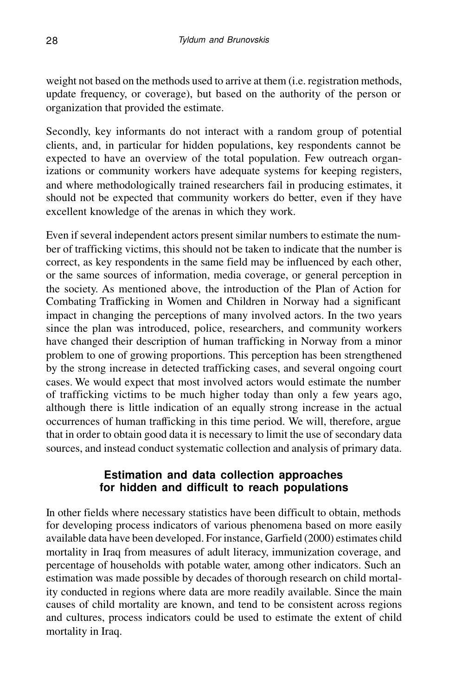weight not based on the methods used to arrive at them (i.e. registration methods, update frequency, or coverage), but based on the authority of the person or organization that provided the estimate.

Secondly, key informants do not interact with a random group of potential clients, and, in particular for hidden populations, key respondents cannot be expected to have an overview of the total population. Few outreach organizations or community workers have adequate systems for keeping registers, and where methodologically trained researchers fail in producing estimates, it should not be expected that community workers do better, even if they have excellent knowledge of the arenas in which they work.

Even if several independent actors present similar numbers to estimate the number of trafficking victims, this should not be taken to indicate that the number is correct, as key respondents in the same field may be influenced by each other, or the same sources of information, media coverage, or general perception in the society. As mentioned above, the introduction of the Plan of Action for Combating Trafficking in Women and Children in Norway had a significant impact in changing the perceptions of many involved actors. In the two years since the plan was introduced, police, researchers, and community workers have changed their description of human trafficking in Norway from a minor problem to one of growing proportions. This perception has been strengthened by the strong increase in detected trafficking cases, and several ongoing court cases. We would expect that most involved actors would estimate the number of trafficking victims to be much higher today than only a few years ago, although there is little indication of an equally strong increase in the actual occurrences of human trafficking in this time period. We will, therefore, argue that in order to obtain good data it is necessary to limit the use of secondary data sources, and instead conduct systematic collection and analysis of primary data.

## **Estimation and data collection approaches for hidden and difficult to reach populations**

In other fields where necessary statistics have been difficult to obtain, methods for developing process indicators of various phenomena based on more easily available data have been developed. For instance, Garfield (2000) estimates child mortality in Iraq from measures of adult literacy, immunization coverage, and percentage of households with potable water, among other indicators. Such an estimation was made possible by decades of thorough research on child mortality conducted in regions where data are more readily available. Since the main causes of child mortality are known, and tend to be consistent across regions and cultures, process indicators could be used to estimate the extent of child mortality in Iraq.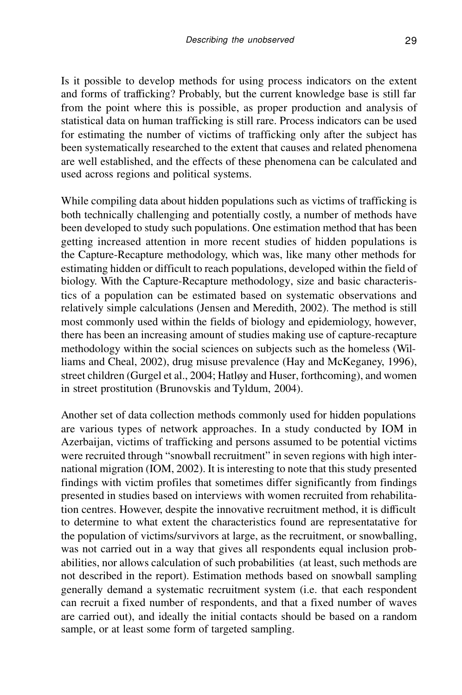Is it possible to develop methods for using process indicators on the extent and forms of trafficking? Probably, but the current knowledge base is still far from the point where this is possible, as proper production and analysis of statistical data on human trafficking is still rare. Process indicators can be used for estimating the number of victims of trafficking only after the subject has been systematically researched to the extent that causes and related phenomena are well established, and the effects of these phenomena can be calculated and used across regions and political systems.

While compiling data about hidden populations such as victims of trafficking is both technically challenging and potentially costly, a number of methods have been developed to study such populations. One estimation method that has been getting increased attention in more recent studies of hidden populations is the Capture-Recapture methodology, which was, like many other methods for estimating hidden or difficult to reach populations, developed within the field of biology. With the Capture-Recapture methodology, size and basic characteristics of a population can be estimated based on systematic observations and relatively simple calculations (Jensen and Meredith, 2002). The method is still most commonly used within the fields of biology and epidemiology, however, there has been an increasing amount of studies making use of capture-recapture methodology within the social sciences on subjects such as the homeless (Williams and Cheal, 2002), drug misuse prevalence (Hay and McKeganey, 1996), street children (Gurgel et al., 2004; Hatløy and Huser, forthcoming), and women in street prostitution (Brunovskis and Tyldum, 2004).

Another set of data collection methods commonly used for hidden populations are various types of network approaches. In a study conducted by IOM in Azerbaijan, victims of trafficking and persons assumed to be potential victims were recruited through "snowball recruitment" in seven regions with high international migration (IOM, 2002). It is interesting to note that this study presented findings with victim profiles that sometimes differ significantly from findings presented in studies based on interviews with women recruited from rehabilitation centres. However, despite the innovative recruitment method, it is difficult to determine to what extent the characteristics found are representatative for the population of victims/survivors at large, as the recruitment, or snowballing, was not carried out in a way that gives all respondents equal inclusion probabilities, nor allows calculation of such probabilities (at least, such methods are not described in the report). Estimation methods based on snowball sampling generally demand a systematic recruitment system (i.e. that each respondent can recruit a fixed number of respondents, and that a fixed number of waves are carried out), and ideally the initial contacts should be based on a random sample, or at least some form of targeted sampling.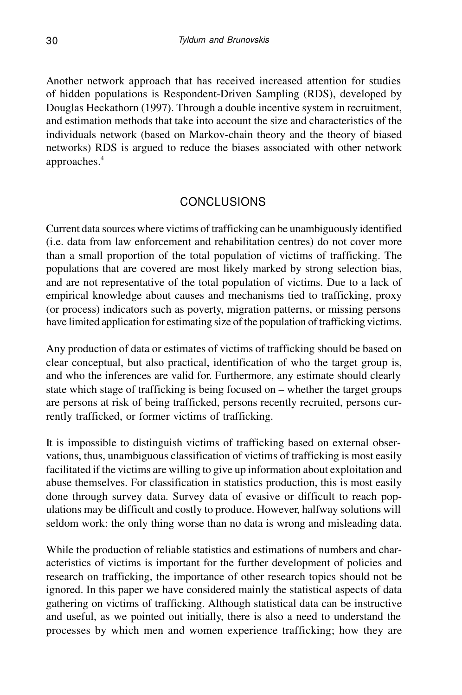Another network approach that has received increased attention for studies of hidden populations is Respondent-Driven Sampling (RDS), developed by Douglas Heckathorn (1997). Through a double incentive system in recruitment, and estimation methods that take into account the size and characteristics of the individuals network (based on Markov-chain theory and the theory of biased networks) RDS is argued to reduce the biases associated with other network approaches.<sup>4</sup>

## CONCLUSIONS

Current data sources where victims of trafficking can be unambiguously identified (i.e. data from law enforcement and rehabilitation centres) do not cover more than a small proportion of the total population of victims of trafficking. The populations that are covered are most likely marked by strong selection bias, and are not representative of the total population of victims. Due to a lack of empirical knowledge about causes and mechanisms tied to trafficking, proxy (or process) indicators such as poverty, migration patterns, or missing persons have limited application for estimating size of the population of trafficking victims.

Any production of data or estimates of victims of trafficking should be based on clear conceptual, but also practical, identification of who the target group is, and who the inferences are valid for. Furthermore, any estimate should clearly state which stage of trafficking is being focused on – whether the target groups are persons at risk of being trafficked, persons recently recruited, persons currently trafficked, or former victims of trafficking.

It is impossible to distinguish victims of trafficking based on external observations, thus, unambiguous classification of victims of trafficking is most easily facilitated if the victims are willing to give up information about exploitation and abuse themselves. For classification in statistics production, this is most easily done through survey data. Survey data of evasive or difficult to reach populations may be difficult and costly to produce. However, halfway solutions will seldom work: the only thing worse than no data is wrong and misleading data.

While the production of reliable statistics and estimations of numbers and characteristics of victims is important for the further development of policies and research on trafficking, the importance of other research topics should not be ignored. In this paper we have considered mainly the statistical aspects of data gathering on victims of trafficking. Although statistical data can be instructive and useful, as we pointed out initially, there is also a need to understand the processes by which men and women experience trafficking; how they are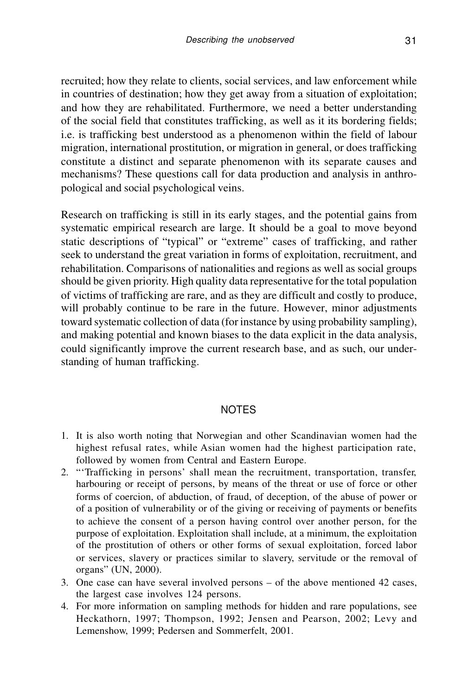recruited; how they relate to clients, social services, and law enforcement while in countries of destination; how they get away from a situation of exploitation; and how they are rehabilitated. Furthermore, we need a better understanding of the social field that constitutes trafficking, as well as it its bordering fields; i.e. is trafficking best understood as a phenomenon within the field of labour migration, international prostitution, or migration in general, or does trafficking constitute a distinct and separate phenomenon with its separate causes and mechanisms? These questions call for data production and analysis in anthropological and social psychological veins.

Research on trafficking is still in its early stages, and the potential gains from systematic empirical research are large. It should be a goal to move beyond static descriptions of "typical" or "extreme" cases of trafficking, and rather seek to understand the great variation in forms of exploitation, recruitment, and rehabilitation. Comparisons of nationalities and regions as well as social groups should be given priority. High quality data representative for the total population of victims of trafficking are rare, and as they are difficult and costly to produce, will probably continue to be rare in the future. However, minor adjustments toward systematic collection of data (for instance by using probability sampling), and making potential and known biases to the data explicit in the data analysis, could significantly improve the current research base, and as such, our understanding of human trafficking.

## **NOTES**

- 1. It is also worth noting that Norwegian and other Scandinavian women had the highest refusal rates, while Asian women had the highest participation rate, followed by women from Central and Eastern Europe.
- 2. "'Trafficking in persons' shall mean the recruitment, transportation, transfer, harbouring or receipt of persons, by means of the threat or use of force or other forms of coercion, of abduction, of fraud, of deception, of the abuse of power or of a position of vulnerability or of the giving or receiving of payments or benefits to achieve the consent of a person having control over another person, for the purpose of exploitation. Exploitation shall include, at a minimum, the exploitation of the prostitution of others or other forms of sexual exploitation, forced labor or services, slavery or practices similar to slavery, servitude or the removal of organs" (UN, 2000).
- 3. One case can have several involved persons of the above mentioned 42 cases, the largest case involves 124 persons.
- 4. For more information on sampling methods for hidden and rare populations, see Heckathorn, 1997; Thompson, 1992; Jensen and Pearson, 2002; Levy and Lemenshow, 1999; Pedersen and Sommerfelt, 2001.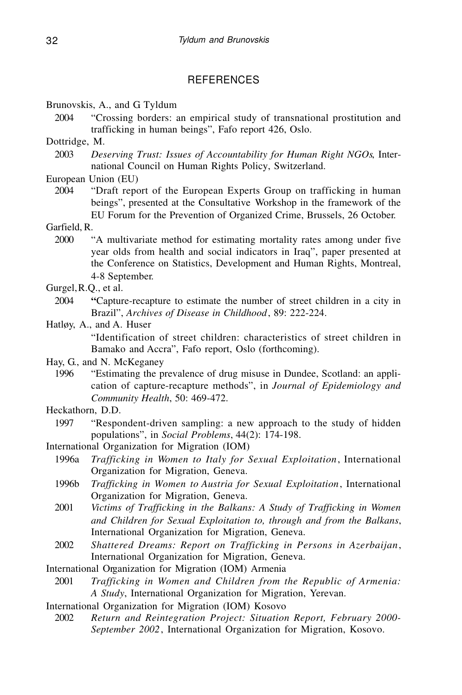### **REFERENCES**

Brunovskis, A., and G. Tyldum

- 2004 "Crossing borders: an empirical study of transnational prostitution and trafficking in human beings", Fafo report 426, Oslo.
- Dottridge, M.
	- 2003 *Deserving Trust: Issues of Accountability for Human Right NGOs*, International Council on Human Rights Policy, Switzerland.
- European Union (EU)
	- 2004 "Draft report of the European Experts Group on trafficking in human beings", presented at the Consultative Workshop in the framework of the EU Forum for the Prevention of Organized Crime, Brussels, 26 October.
- Garfield, R.
	- 2000 "A multivariate method for estimating mortality rates among under five year olds from health and social indicators in Iraq", paper presented at the Conference on Statistics, Development and Human Rights, Montreal, 4-8 September.
- Gurgel,R.Q., et al.
	- 2004 **"**Capture-recapture to estimate the number of street children in a city in Brazil", *Archives of Disease in Childhood*, 89: 222-224.
- Hatløy, A., and A. Huser

"Identification of street children: characteristics of street children in Bamako and Accra", Fafo report, Oslo (forthcoming).

Hay, G., and N. McKeganey

- 1996 "Estimating the prevalence of drug misuse in Dundee, Scotland: an application of capture-recapture methods", in *Journal of Epidemiology and Community Health*, 50: 469-472.
- Heckathorn, D.D.
	- 1997 "Respondent-driven sampling: a new approach to the study of hidden populations", in *Social Problems*, 44(2): 174-198.
- International Organization for Migration (IOM)
	- 1996a *Trafficking in Women to Italy for Sexual Exploitation*, International Organization for Migration, Geneva.
	- 1996b *Trafficking in Women to Austria for Sexual Exploitation*, International Organization for Migration, Geneva.
	- 2001 *Victims of Trafficking in the Balkans: A Study of Trafficking in Women and Children for Sexual Exploitation to, through and from the Balkans*, International Organization for Migration, Geneva.
	- 2002 *Shattered Dreams: Report on Trafficking in Persons in Azerbaijan*, International Organization for Migration, Geneva.
- International Organization for Migration (IOM) Armenia
	- 2001 *Trafficking in Women and Children from the Republic of Armenia: A Study*, International Organization for Migration, Yerevan.

International Organization for Migration (IOM) Kosovo

2002 *Return and Reintegration Project: Situation Report, February 2000- September 2002*, International Organization for Migration, Kosovo.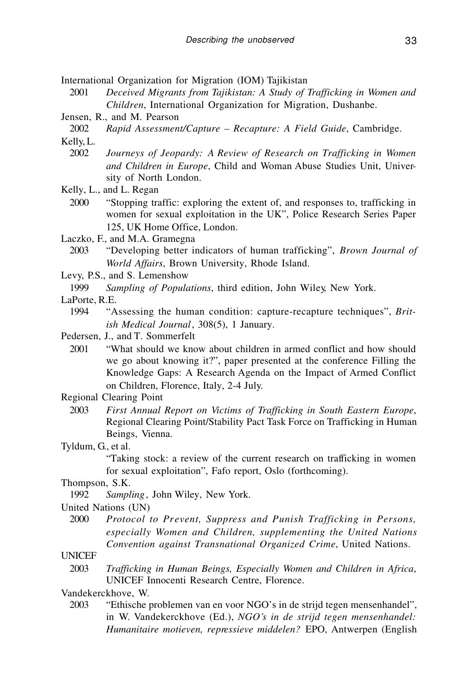International Organization for Migration (IOM) Tajikistan

- 2001 *Deceived Migrants from Tajikistan: A Study of Trafficking in Women and Children*, International Organization for Migration, Dushanbe.
- Jensen, R., and M. Pearson
- 2002 *Rapid Assessment/Capture Recapture: A Field Guide*, Cambridge. Kelly, L.  $2002$ 
	- Journeys of Jeopardy: A Review of Research on Trafficking in Women *and Children in Europe*, Child and Woman Abuse Studies Unit, University of North London.
- Kelly, L., and L. Regan
	- 2000 "Stopping traffic: exploring the extent of, and responses to, trafficking in women for sexual exploitation in the UK", Police Research Series Paper 125, UK Home Office, London.
- Laczko, F., and M.A. Gramegna
	- 2003 "Developing better indicators of human trafficking", *Brown Journal of World Affairs*, Brown University, Rhode Island.
- Levy, P.S., and S. Lemenshow
- 1999 *Sampling of Populations*, third edition, John Wiley, New York.
- LaPorte, R.E.<br> $1994$  "A
	- "Assessing the human condition: capture-recapture techniques", *British Medical Journal*, 308(5), 1 January.
- Pedersen, J., and T. Sommerfelt
	- 2001 "What should we know about children in armed conflict and how should we go about knowing it?", paper presented at the conference Filling the Knowledge Gaps: A Research Agenda on the Impact of Armed Conflict on Children, Florence, Italy, 2-4 July.
- Regional Clearing Point
	- 2003 *First Annual Report on Victims of Trafficking in South Eastern Europe*, Regional Clearing Point/Stability Pact Task Force on Trafficking in Human Beings, Vienna.
- Tyldum, G., et al.
	- "Taking stock: a review of the current research on trafficking in women for sexual exploitation", Fafo report, Oslo (forthcoming).
- Thompson, S.K.
	- 1992 *Sampling*, John Wiley, New York.
- United Nations (UN)
	- 2000 *Protocol to Prevent, Suppress and Punish Trafficking in Persons, especially Women and Children, supplementing the United Nations Convention against Transnational Organized Crime*, United Nations.

#### UNICEF

2003 *Trafficking in Human Beings, Especially Women and Children in Africa*, UNICEF Innocenti Research Centre, Florence.

Vandekerckhove, W.

2003 "Ethische problemen van en voor NGO's in de strijd tegen mensenhandel", in W. Vandekerckhove (Ed.), *NGO's in de strijd tegen mensenhandel: Humanitaire motieven, repressieve middelen?* EPO, Antwerpen (English